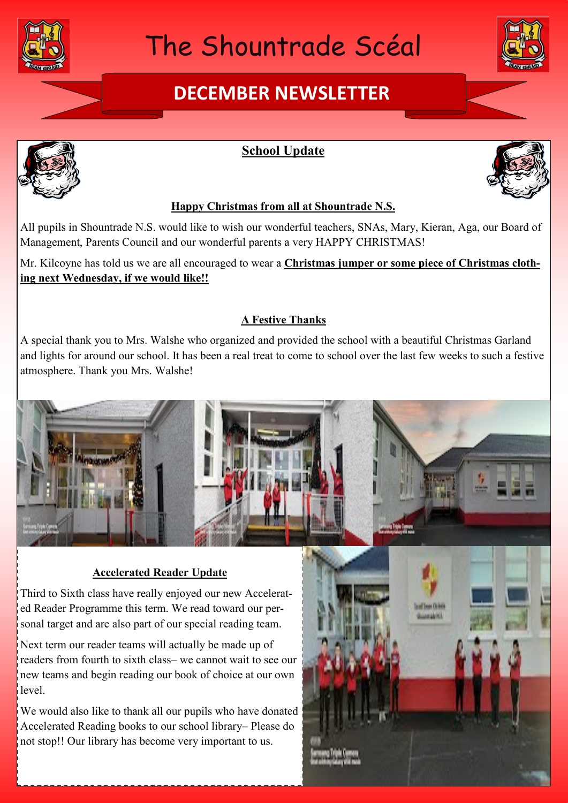

# The Shountrade Scéal

## **DECEMBER NEWSLETTER**





### **School Update**



### **Happy Christmas from all at Shountrade N.S.**

All pupils in Shountrade N.S. would like to wish our wonderful teachers, SNAs, Mary, Kieran, Aga, our Board of Management, Parents Council and our wonderful parents a very HAPPY CHRISTMAS!

Mr. Kilcoyne has told us we are all encouraged to wear a **Christmas jumper or some piece of Christmas clothing next Wednesday, if we would like!!**

### **A Festive Thanks**

A special thank you to Mrs. Walshe who organized and provided the school with a beautiful Christmas Garland and lights for around our school. It has been a real treat to come to school over the last few weeks to such a festive atmosphere. Thank you Mrs. Walshe!



### **Accelerated Reader Update**

Third to Sixth class have really enjoyed our new Accelerated Reader Programme this term. We read toward our personal target and are also part of our special reading team.

Next term our reader teams will actually be made up of readers from fourth to sixth class– we cannot wait to see our new teams and begin reading our book of choice at our own level.

We would also like to thank all our pupils who have donated Accelerated Reading books to our school library– Please do not stop!! Our library has become very important to us.